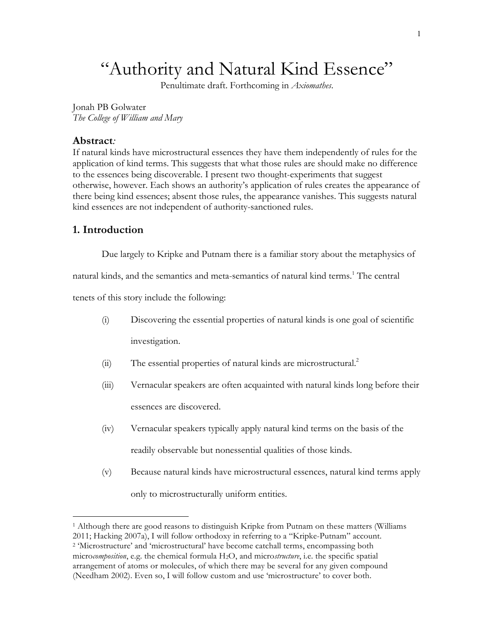# "Authority and Natural Kind Essence"

Penultimate draft. Forthcoming in *Axiomathes*.

Jonah PB Golwater *The College of William and Mary*

#### **Abstract***:*

If natural kinds have microstructural essences they have them independently of rules for the application of kind terms. This suggests that what those rules are should make no difference to the essences being discoverable. I present two thought-experiments that suggest otherwise, however. Each shows an authority's application of rules creates the appearance of there being kind essences; absent those rules, the appearance vanishes. This suggests natural kind essences are not independent of authority-sanctioned rules.

## **1. Introduction**

Due largely to Kripke and Putnam there is a familiar story about the metaphysics of

natural kinds, and the semantics and meta-semantics of natural kind terms.<sup>1</sup> The central

tenets of this story include the following:

- (i) Discovering the essential properties of natural kinds is one goal of scientific investigation.
- (ii) The essential properties of natural kinds are microstructural.<sup>2</sup>
- (iii) Vernacular speakers are often acquainted with natural kinds long before their essences are discovered.
- (iv) Vernacular speakers typically apply natural kind terms on the basis of the readily observable but nonessential qualities of those kinds.
- (v) Because natural kinds have microstructural essences, natural kind terms apply only to microstructurally uniform entities.

<sup>1</sup> Although there are good reasons to distinguish Kripke from Putnam on these matters (Williams 2011; Hacking 2007a), I will follow orthodoxy in referring to a "Kripke-Putnam" account. 2 'Microstructure' and 'microstructural' have become catchall terms, encompassing both micro*composition*, e.g. the chemical formula H2O, and micro*structure*, i.e. the specific spatial arrangement of atoms or molecules, of which there may be several for any given compound (Needham 2002). Even so, I will follow custom and use 'microstructure' to cover both.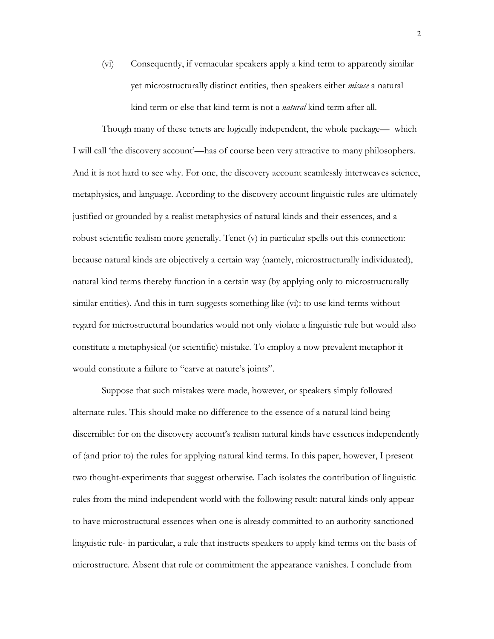(vi) Consequently, if vernacular speakers apply a kind term to apparently similar yet microstructurally distinct entities, then speakers either *misuse* a natural kind term or else that kind term is not a *natural* kind term after all.

Though many of these tenets are logically independent, the whole package— which I will call 'the discovery account'—has of course been very attractive to many philosophers. And it is not hard to see why. For one, the discovery account seamlessly interweaves science, metaphysics, and language. According to the discovery account linguistic rules are ultimately justified or grounded by a realist metaphysics of natural kinds and their essences, and a robust scientific realism more generally. Tenet (v) in particular spells out this connection: because natural kinds are objectively a certain way (namely, microstructurally individuated), natural kind terms thereby function in a certain way (by applying only to microstructurally similar entities). And this in turn suggests something like (vi): to use kind terms without regard for microstructural boundaries would not only violate a linguistic rule but would also constitute a metaphysical (or scientific) mistake. To employ a now prevalent metaphor it would constitute a failure to "carve at nature's joints".

Suppose that such mistakes were made, however, or speakers simply followed alternate rules. This should make no difference to the essence of a natural kind being discernible: for on the discovery account's realism natural kinds have essences independently of (and prior to) the rules for applying natural kind terms. In this paper, however, I present two thought-experiments that suggest otherwise. Each isolates the contribution of linguistic rules from the mind-independent world with the following result: natural kinds only appear to have microstructural essences when one is already committed to an authority-sanctioned linguistic rule- in particular, a rule that instructs speakers to apply kind terms on the basis of microstructure. Absent that rule or commitment the appearance vanishes. I conclude from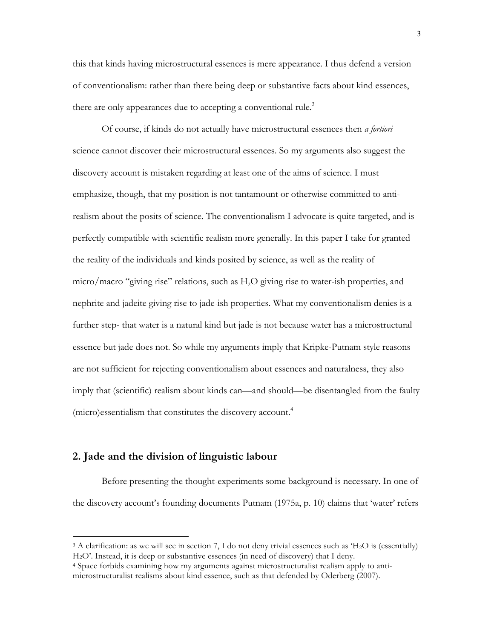this that kinds having microstructural essences is mere appearance. I thus defend a version of conventionalism: rather than there being deep or substantive facts about kind essences, there are only appearances due to accepting a conventional rule.<sup>3</sup>

Of course, if kinds do not actually have microstructural essences then *a fortiori* science cannot discover their microstructural essences. So my arguments also suggest the discovery account is mistaken regarding at least one of the aims of science. I must emphasize, though, that my position is not tantamount or otherwise committed to antirealism about the posits of science. The conventionalism I advocate is quite targeted, and is perfectly compatible with scientific realism more generally. In this paper I take for granted the reality of the individuals and kinds posited by science, as well as the reality of micro/macro "giving rise" relations, such as  $H<sub>2</sub>O$  giving rise to water-ish properties, and nephrite and jadeite giving rise to jade-ish properties. What my conventionalism denies is a further step- that water is a natural kind but jade is not because water has a microstructural essence but jade does not. So while my arguments imply that Kripke-Putnam style reasons are not sufficient for rejecting conventionalism about essences and naturalness, they also imply that (scientific) realism about kinds can—and should—be disentangled from the faulty (micro)essentialism that constitutes the discovery account.4

## **2. Jade and the division of linguistic labour**

 

Before presenting the thought-experiments some background is necessary. In one of the discovery account's founding documents Putnam (1975a, p. 10) claims that 'water' refers

 $3$  A clarification: as we will see in section 7, I do not deny trivial essences such as 'H<sub>2</sub>O is (essentially) H2O'. Instead, it is deep or substantive essences (in need of discovery) that I deny.

<sup>4</sup> Space forbids examining how my arguments against microstructuralist realism apply to antimicrostructuralist realisms about kind essence, such as that defended by Oderberg (2007).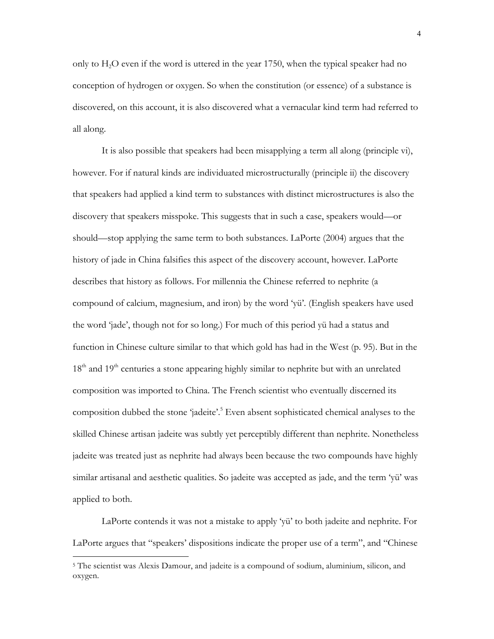only to H2O even if the word is uttered in the year 1750, when the typical speaker had no conception of hydrogen or oxygen. So when the constitution (or essence) of a substance is discovered, on this account, it is also discovered what a vernacular kind term had referred to all along.

It is also possible that speakers had been misapplying a term all along (principle vi), however. For if natural kinds are individuated microstructurally (principle ii) the discovery that speakers had applied a kind term to substances with distinct microstructures is also the discovery that speakers misspoke. This suggests that in such a case, speakers would—or should—stop applying the same term to both substances. LaPorte (2004) argues that the history of jade in China falsifies this aspect of the discovery account, however. LaPorte describes that history as follows. For millennia the Chinese referred to nephrite (a compound of calcium, magnesium, and iron) by the word 'yü'. (English speakers have used the word 'jade', though not for so long.) For much of this period yü had a status and function in Chinese culture similar to that which gold has had in the West (p. 95). But in the  $18<sup>th</sup>$  and  $19<sup>th</sup>$  centuries a stone appearing highly similar to nephrite but with an unrelated composition was imported to China. The French scientist who eventually discerned its composition dubbed the stone 'jadeite'.<sup>5</sup> Even absent sophisticated chemical analyses to the skilled Chinese artisan jadeite was subtly yet perceptibly different than nephrite. Nonetheless jadeite was treated just as nephrite had always been because the two compounds have highly similar artisanal and aesthetic qualities. So jadeite was accepted as jade, and the term 'yü' was applied to both.

LaPorte contends it was not a mistake to apply 'yü' to both jadeite and nephrite. For LaPorte argues that "speakers' dispositions indicate the proper use of a term", and "Chinese

<sup>&</sup>lt;sup>5</sup> The scientist was Alexis Damour, and jadeite is a compound of sodium, aluminium, silicon, and oxygen.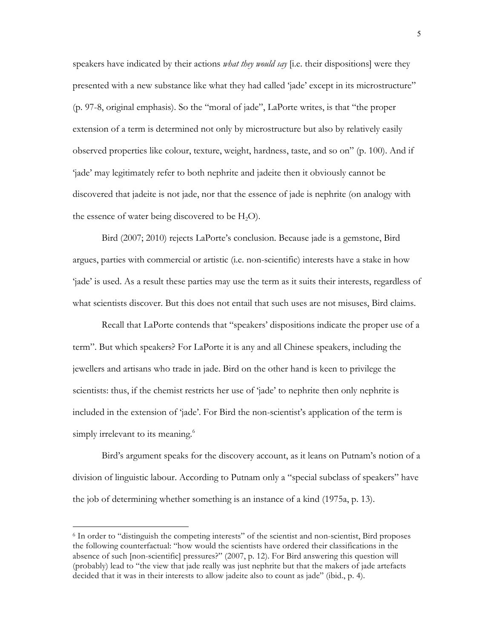speakers have indicated by their actions *what they would say* [i.e. their dispositions] were they presented with a new substance like what they had called 'jade' except in its microstructure" (p. 97-8, original emphasis). So the "moral of jade", LaPorte writes, is that "the proper extension of a term is determined not only by microstructure but also by relatively easily observed properties like colour, texture, weight, hardness, taste, and so on" (p. 100). And if 'jade' may legitimately refer to both nephrite and jadeite then it obviously cannot be discovered that jadeite is not jade, nor that the essence of jade is nephrite (on analogy with the essence of water being discovered to be  $H<sub>2</sub>O$ .

Bird (2007; 2010) rejects LaPorte's conclusion. Because jade is a gemstone, Bird argues, parties with commercial or artistic (i.e. non-scientific) interests have a stake in how 'jade' is used. As a result these parties may use the term as it suits their interests, regardless of what scientists discover. But this does not entail that such uses are not misuses, Bird claims.

Recall that LaPorte contends that "speakers' dispositions indicate the proper use of a term". But which speakers? For LaPorte it is any and all Chinese speakers, including the jewellers and artisans who trade in jade. Bird on the other hand is keen to privilege the scientists: thus, if the chemist restricts her use of 'jade' to nephrite then only nephrite is included in the extension of 'jade'. For Bird the non-scientist's application of the term is simply irrelevant to its meaning.<sup>6</sup>

Bird's argument speaks for the discovery account, as it leans on Putnam's notion of a division of linguistic labour. According to Putnam only a "special subclass of speakers" have the job of determining whether something is an instance of a kind (1975a, p. 13).

<sup>6</sup> In order to "distinguish the competing interests" of the scientist and non-scientist, Bird proposes the following counterfactual: "how would the scientists have ordered their classifications in the absence of such [non-scientific] pressures?" (2007, p. 12). For Bird answering this question will (probably) lead to "the view that jade really was just nephrite but that the makers of jade artefacts decided that it was in their interests to allow jadeite also to count as jade" (ibid., p. 4).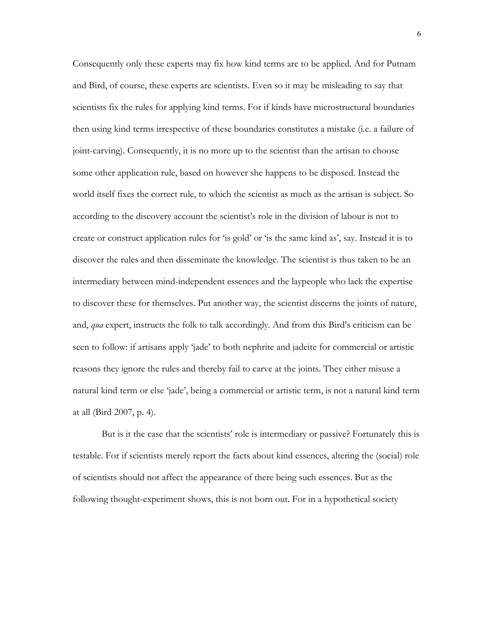Consequently only these experts may fix how kind terms are to be applied. And for Putnam and Bird, of course, these experts are scientists. Even so it may be misleading to say that scientists fix the rules for applying kind terms. For if kinds have microstructural boundaries then using kind terms irrespective of these boundaries constitutes a mistake (i.e. a failure of joint-carving). Consequently, it is no more up to the scientist than the artisan to choose some other application rule, based on however she happens to be disposed. Instead the world itself fixes the correct rule, to which the scientist as much as the artisan is subject. So according to the discovery account the scientist's role in the division of labour is not to create or construct application rules for 'is gold' or 'is the same kind as', say. Instead it is to discover the rules and then disseminate the knowledge. The scientist is thus taken to be an intermediary between mind-independent essences and the laypeople who lack the expertise to discover these for themselves. Put another way, the scientist discerns the joints of nature, and, *qua* expert, instructs the folk to talk accordingly. And from this Bird's criticism can be seen to follow: if artisans apply 'jade' to both nephrite and jadeite for commercial or artistic reasons they ignore the rules and thereby fail to carve at the joints. They either misuse a natural kind term or else 'jade', being a commercial or artistic term, is not a natural kind term at all (Bird 2007, p. 4).

But is it the case that the scientists' role is intermediary or passive? Fortunately this is testable. For if scientists merely report the facts about kind essences, altering the (social) role of scientists should not affect the appearance of there being such essences. But as the following thought-experiment shows, this is not born out. For in a hypothetical society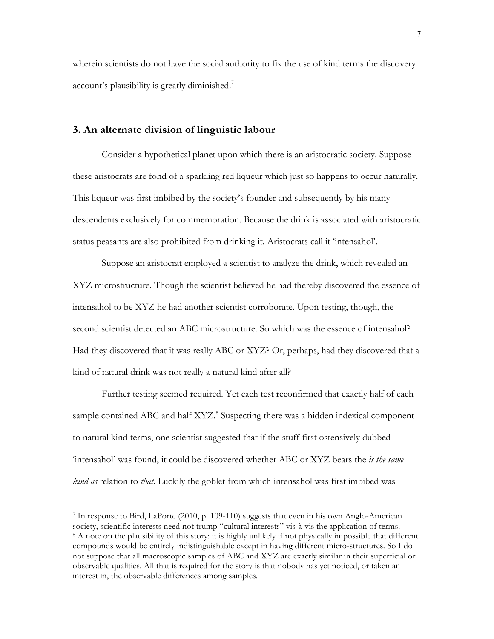wherein scientists do not have the social authority to fix the use of kind terms the discovery account's plausibility is greatly diminished.7

## **3. An alternate division of linguistic labour**

 

Consider a hypothetical planet upon which there is an aristocratic society. Suppose these aristocrats are fond of a sparkling red liqueur which just so happens to occur naturally. This liqueur was first imbibed by the society's founder and subsequently by his many descendents exclusively for commemoration. Because the drink is associated with aristocratic status peasants are also prohibited from drinking it. Aristocrats call it 'intensahol'.

Suppose an aristocrat employed a scientist to analyze the drink, which revealed an XYZ microstructure. Though the scientist believed he had thereby discovered the essence of intensahol to be XYZ he had another scientist corroborate. Upon testing, though, the second scientist detected an ABC microstructure. So which was the essence of intensahol? Had they discovered that it was really ABC or XYZ? Or, perhaps, had they discovered that a kind of natural drink was not really a natural kind after all?

Further testing seemed required. Yet each test reconfirmed that exactly half of each sample contained ABC and half XYZ.<sup>8</sup> Suspecting there was a hidden indexical component to natural kind terms, one scientist suggested that if the stuff first ostensively dubbed 'intensahol' was found, it could be discovered whether ABC or XYZ bears the *is the same kind as* relation to *that*. Luckily the goblet from which intensahol was first imbibed was

<sup>7</sup> In response to Bird, LaPorte (2010, p. 109-110) suggests that even in his own Anglo-American society, scientific interests need not trump "cultural interests" vis-à-vis the application of terms. 8 A note on the plausibility of this story: it is highly unlikely if not physically impossible that different compounds would be entirely indistinguishable except in having different micro-structures. So I do not suppose that all macroscopic samples of ABC and XYZ are exactly similar in their superficial or observable qualities. All that is required for the story is that nobody has yet noticed, or taken an interest in, the observable differences among samples.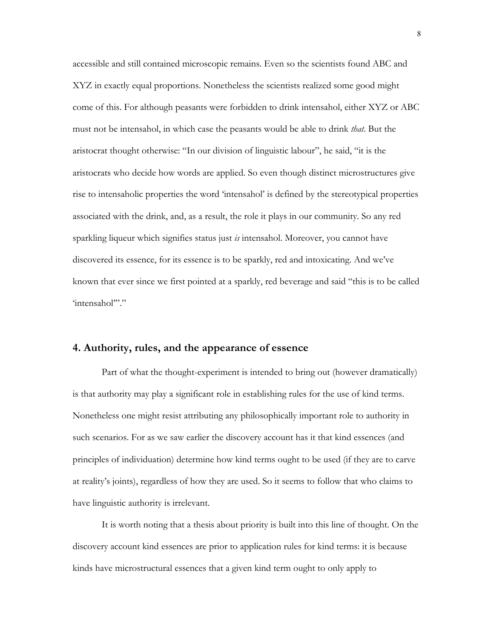accessible and still contained microscopic remains. Even so the scientists found ABC and XYZ in exactly equal proportions. Nonetheless the scientists realized some good might come of this. For although peasants were forbidden to drink intensahol, either XYZ or ABC must not be intensahol, in which case the peasants would be able to drink *that*. But the aristocrat thought otherwise: "In our division of linguistic labour", he said, "it is the aristocrats who decide how words are applied. So even though distinct microstructures give rise to intensaholic properties the word 'intensahol' is defined by the stereotypical properties associated with the drink, and, as a result, the role it plays in our community. So any red sparkling liqueur which signifies status just *is* intensahol. Moreover, you cannot have discovered its essence, for its essence is to be sparkly, red and intoxicating. And we've known that ever since we first pointed at a sparkly, red beverage and said "this is to be called 'intensahol'"."

## **4. Authority, rules, and the appearance of essence**

Part of what the thought-experiment is intended to bring out (however dramatically) is that authority may play a significant role in establishing rules for the use of kind terms. Nonetheless one might resist attributing any philosophically important role to authority in such scenarios. For as we saw earlier the discovery account has it that kind essences (and principles of individuation) determine how kind terms ought to be used (if they are to carve at reality's joints), regardless of how they are used. So it seems to follow that who claims to have linguistic authority is irrelevant.

It is worth noting that a thesis about priority is built into this line of thought. On the discovery account kind essences are prior to application rules for kind terms: it is because kinds have microstructural essences that a given kind term ought to only apply to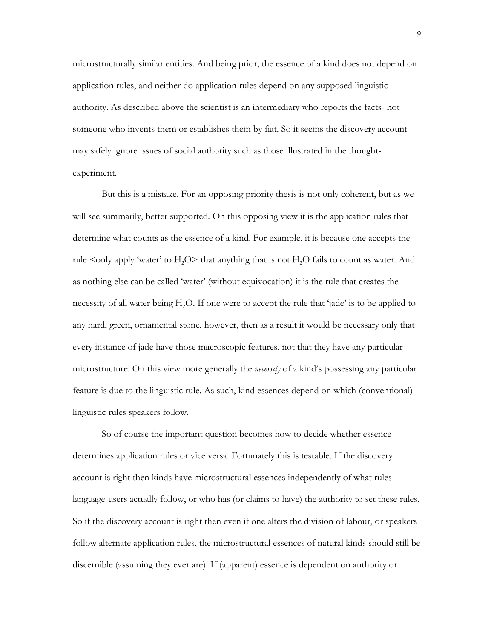microstructurally similar entities. And being prior, the essence of a kind does not depend on application rules, and neither do application rules depend on any supposed linguistic authority. As described above the scientist is an intermediary who reports the facts- not someone who invents them or establishes them by fiat. So it seems the discovery account may safely ignore issues of social authority such as those illustrated in the thoughtexperiment.

But this is a mistake. For an opposing priority thesis is not only coherent, but as we will see summarily, better supported. On this opposing view it is the application rules that determine what counts as the essence of a kind. For example, it is because one accepts the rule  $\leq$  only apply 'water' to H<sub>2</sub>O $>$  that anything that is not H<sub>2</sub>O fails to count as water. And as nothing else can be called 'water' (without equivocation) it is the rule that creates the necessity of all water being H<sub>2</sub>O. If one were to accept the rule that 'jade' is to be applied to any hard, green, ornamental stone, however, then as a result it would be necessary only that every instance of jade have those macroscopic features, not that they have any particular microstructure. On this view more generally the *necessity* of a kind's possessing any particular feature is due to the linguistic rule. As such, kind essences depend on which (conventional) linguistic rules speakers follow.

So of course the important question becomes how to decide whether essence determines application rules or vice versa. Fortunately this is testable. If the discovery account is right then kinds have microstructural essences independently of what rules language-users actually follow, or who has (or claims to have) the authority to set these rules. So if the discovery account is right then even if one alters the division of labour, or speakers follow alternate application rules, the microstructural essences of natural kinds should still be discernible (assuming they ever are). If (apparent) essence is dependent on authority or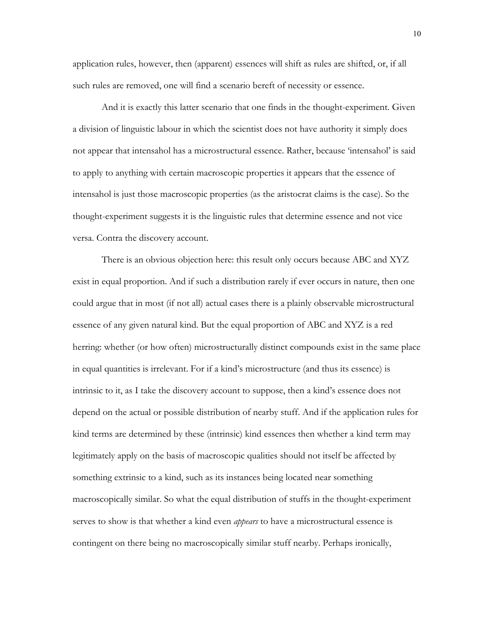application rules, however, then (apparent) essences will shift as rules are shifted, or, if all such rules are removed, one will find a scenario bereft of necessity or essence.

And it is exactly this latter scenario that one finds in the thought-experiment. Given a division of linguistic labour in which the scientist does not have authority it simply does not appear that intensahol has a microstructural essence. Rather, because 'intensahol' is said to apply to anything with certain macroscopic properties it appears that the essence of intensahol is just those macroscopic properties (as the aristocrat claims is the case). So the thought-experiment suggests it is the linguistic rules that determine essence and not vice versa. Contra the discovery account.

There is an obvious objection here: this result only occurs because ABC and XYZ exist in equal proportion. And if such a distribution rarely if ever occurs in nature, then one could argue that in most (if not all) actual cases there is a plainly observable microstructural essence of any given natural kind. But the equal proportion of ABC and XYZ is a red herring: whether (or how often) microstructurally distinct compounds exist in the same place in equal quantities is irrelevant. For if a kind's microstructure (and thus its essence) is intrinsic to it, as I take the discovery account to suppose, then a kind's essence does not depend on the actual or possible distribution of nearby stuff. And if the application rules for kind terms are determined by these (intrinsic) kind essences then whether a kind term may legitimately apply on the basis of macroscopic qualities should not itself be affected by something extrinsic to a kind, such as its instances being located near something macroscopically similar. So what the equal distribution of stuffs in the thought-experiment serves to show is that whether a kind even *appears* to have a microstructural essence is contingent on there being no macroscopically similar stuff nearby. Perhaps ironically,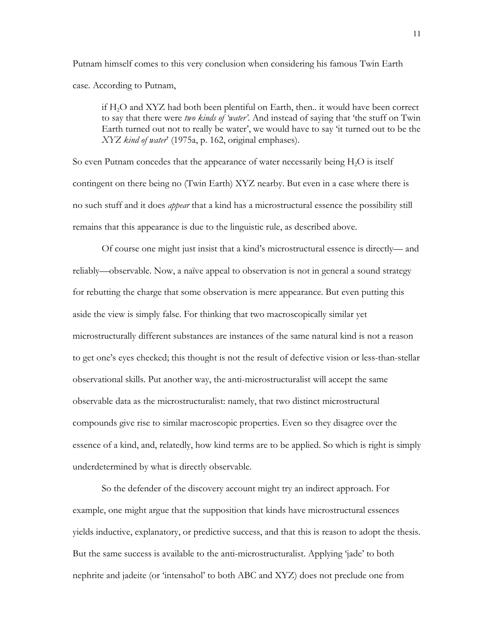Putnam himself comes to this very conclusion when considering his famous Twin Earth case. According to Putnam,

if H2O and XYZ had both been plentiful on Earth, then.. it would have been correct to say that there were *two kinds of 'water'*. And instead of saying that 'the stuff on Twin Earth turned out not to really be water', we would have to say 'it turned out to be the *XYZ kind of water*' (1975a, p. 162, original emphases).

So even Putnam concedes that the appearance of water necessarily being H<sub>2</sub>O is itself contingent on there being no (Twin Earth) XYZ nearby. But even in a case where there is no such stuff and it does *appear* that a kind has a microstructural essence the possibility still remains that this appearance is due to the linguistic rule, as described above.

Of course one might just insist that a kind's microstructural essence is directly— and reliably—observable. Now, a naïve appeal to observation is not in general a sound strategy for rebutting the charge that some observation is mere appearance. But even putting this aside the view is simply false. For thinking that two macroscopically similar yet microstructurally different substances are instances of the same natural kind is not a reason to get one's eyes checked; this thought is not the result of defective vision or less-than-stellar observational skills. Put another way, the anti-microstructuralist will accept the same observable data as the microstructuralist: namely, that two distinct microstructural compounds give rise to similar macroscopic properties. Even so they disagree over the essence of a kind, and, relatedly, how kind terms are to be applied. So which is right is simply underdetermined by what is directly observable.

So the defender of the discovery account might try an indirect approach. For example, one might argue that the supposition that kinds have microstructural essences yields inductive, explanatory, or predictive success, and that this is reason to adopt the thesis. But the same success is available to the anti-microstructuralist. Applying 'jade' to both nephrite and jadeite (or 'intensahol' to both ABC and XYZ) does not preclude one from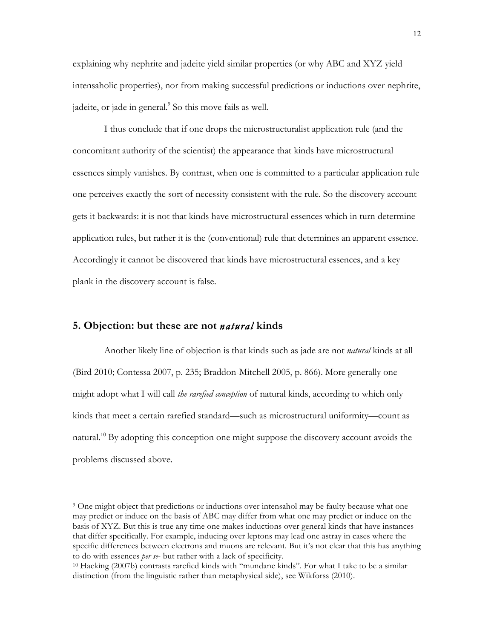explaining why nephrite and jadeite yield similar properties (or why ABC and XYZ yield intensaholic properties), nor from making successful predictions or inductions over nephrite, jadeite, or jade in general.<sup>9</sup> So this move fails as well.

 I thus conclude that if one drops the microstructuralist application rule (and the concomitant authority of the scientist) the appearance that kinds have microstructural essences simply vanishes. By contrast, when one is committed to a particular application rule one perceives exactly the sort of necessity consistent with the rule. So the discovery account gets it backwards: it is not that kinds have microstructural essences which in turn determine application rules, but rather it is the (conventional) rule that determines an apparent essence. Accordingly it cannot be discovered that kinds have microstructural essences, and a key plank in the discovery account is false.

## **5. Objection: but these are not** *natural* **kinds**

 

 Another likely line of objection is that kinds such as jade are not *natural* kinds at all (Bird 2010; Contessa 2007, p. 235; Braddon-Mitchell 2005, p. 866). More generally one might adopt what I will call *the rarefied conception* of natural kinds, according to which only kinds that meet a certain rarefied standard—such as microstructural uniformity—count as natural.<sup>10</sup> By adopting this conception one might suppose the discovery account avoids the problems discussed above.

<sup>9</sup> One might object that predictions or inductions over intensahol may be faulty because what one may predict or induce on the basis of ABC may differ from what one may predict or induce on the basis of XYZ. But this is true any time one makes inductions over general kinds that have instances that differ specifically. For example, inducing over leptons may lead one astray in cases where the specific differences between electrons and muons are relevant. But it's not clear that this has anything to do with essences *per se*- but rather with a lack of specificity.

<sup>10</sup> Hacking (2007b) contrasts rarefied kinds with "mundane kinds". For what I take to be a similar distinction (from the linguistic rather than metaphysical side), see Wikforss (2010).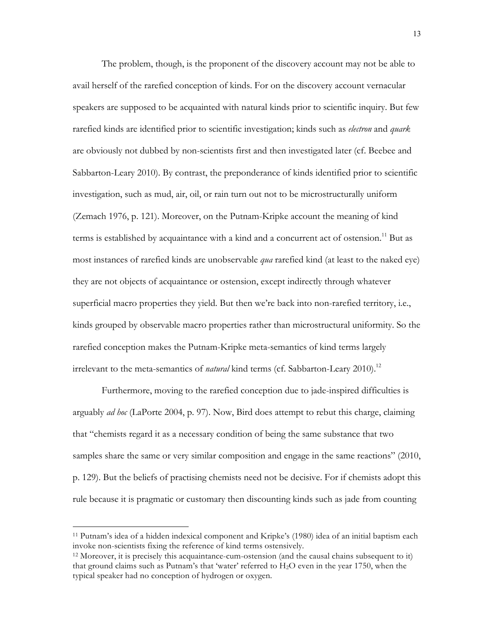The problem, though, is the proponent of the discovery account may not be able to avail herself of the rarefied conception of kinds. For on the discovery account vernacular speakers are supposed to be acquainted with natural kinds prior to scientific inquiry. But few rarefied kinds are identified prior to scientific investigation; kinds such as *electron* and *quark* are obviously not dubbed by non-scientists first and then investigated later (cf. Beebee and Sabbarton-Leary 2010). By contrast, the preponderance of kinds identified prior to scientific investigation, such as mud, air, oil, or rain turn out not to be microstructurally uniform (Zemach 1976, p. 121). Moreover, on the Putnam-Kripke account the meaning of kind terms is established by acquaintance with a kind and a concurrent act of ostension.<sup>11</sup> But as most instances of rarefied kinds are unobservable *qua* rarefied kind (at least to the naked eye) they are not objects of acquaintance or ostension, except indirectly through whatever superficial macro properties they yield. But then we're back into non-rarefied territory, i.e., kinds grouped by observable macro properties rather than microstructural uniformity. So the rarefied conception makes the Putnam-Kripke meta-semantics of kind terms largely irrelevant to the meta-semantics of *natural* kind terms (cf. Sabbarton-Leary 2010).<sup>12</sup>

Furthermore, moving to the rarefied conception due to jade-inspired difficulties is arguably *ad hoc* (LaPorte 2004, p. 97). Now, Bird does attempt to rebut this charge, claiming that "chemists regard it as a necessary condition of being the same substance that two samples share the same or very similar composition and engage in the same reactions" (2010, p. 129). But the beliefs of practising chemists need not be decisive. For if chemists adopt this rule because it is pragmatic or customary then discounting kinds such as jade from counting

<sup>11</sup> Putnam's idea of a hidden indexical component and Kripke's (1980) idea of an initial baptism each invoke non-scientists fixing the reference of kind terms ostensively. 12 Moreover, it is precisely this acquaintance-cum-ostension (and the causal chains subsequent to it)

that ground claims such as Putnam's that 'water' referred to  $H_2O$  even in the year 1750, when the typical speaker had no conception of hydrogen or oxygen.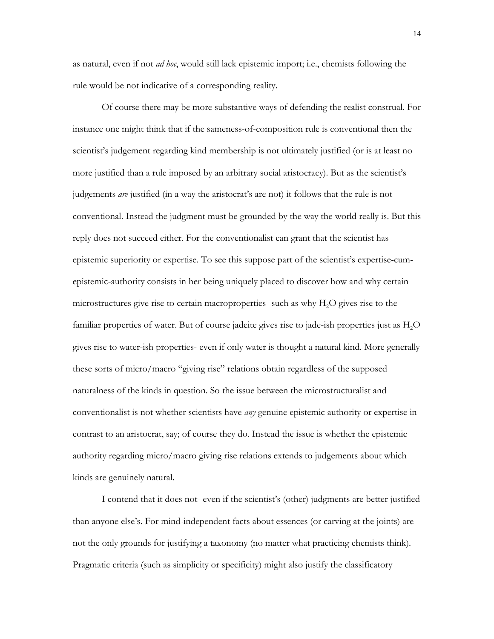as natural, even if not *ad hoc*, would still lack epistemic import; i.e., chemists following the rule would be not indicative of a corresponding reality.

Of course there may be more substantive ways of defending the realist construal. For instance one might think that if the sameness-of-composition rule is conventional then the scientist's judgement regarding kind membership is not ultimately justified (or is at least no more justified than a rule imposed by an arbitrary social aristocracy). But as the scientist's judgements *are* justified (in a way the aristocrat's are not) it follows that the rule is not conventional. Instead the judgment must be grounded by the way the world really is. But this reply does not succeed either. For the conventionalist can grant that the scientist has epistemic superiority or expertise. To see this suppose part of the scientist's expertise-cumepistemic-authority consists in her being uniquely placed to discover how and why certain microstructures give rise to certain macroproperties- such as why H2O gives rise to the familiar properties of water. But of course jadeite gives rise to jade-ish properties just as H<sub>2</sub>O gives rise to water-ish properties- even if only water is thought a natural kind. More generally these sorts of micro/macro "giving rise" relations obtain regardless of the supposed naturalness of the kinds in question. So the issue between the microstructuralist and conventionalist is not whether scientists have *any* genuine epistemic authority or expertise in contrast to an aristocrat, say; of course they do. Instead the issue is whether the epistemic authority regarding micro/macro giving rise relations extends to judgements about which kinds are genuinely natural.

I contend that it does not- even if the scientist's (other) judgments are better justified than anyone else's. For mind-independent facts about essences (or carving at the joints) are not the only grounds for justifying a taxonomy (no matter what practicing chemists think). Pragmatic criteria (such as simplicity or specificity) might also justify the classificatory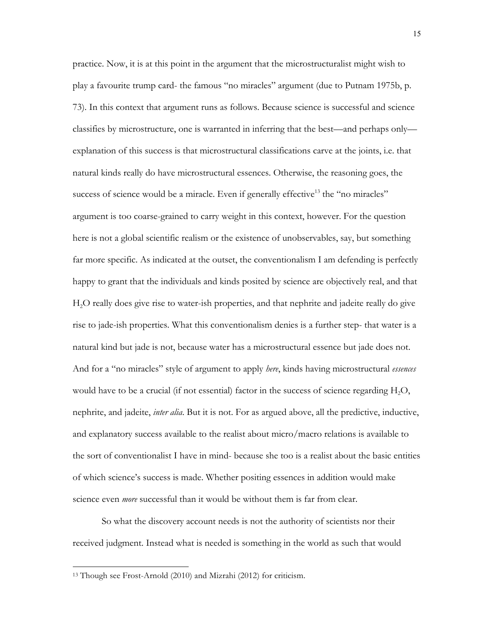practice. Now, it is at this point in the argument that the microstructuralist might wish to play a favourite trump card- the famous "no miracles" argument (due to Putnam 1975b, p. 73). In this context that argument runs as follows. Because science is successful and science classifies by microstructure, one is warranted in inferring that the best—and perhaps only explanation of this success is that microstructural classifications carve at the joints, i.e. that natural kinds really do have microstructural essences. Otherwise, the reasoning goes, the success of science would be a miracle. Even if generally effective<sup>13</sup> the "no miracles" argument is too coarse-grained to carry weight in this context, however. For the question here is not a global scientific realism or the existence of unobservables, say, but something far more specific. As indicated at the outset, the conventionalism I am defending is perfectly happy to grant that the individuals and kinds posited by science are objectively real, and that H2O really does give rise to water-ish properties, and that nephrite and jadeite really do give rise to jade-ish properties. What this conventionalism denies is a further step- that water is a natural kind but jade is not, because water has a microstructural essence but jade does not. And for a "no miracles" style of argument to apply *here*, kinds having microstructural *essences* would have to be a crucial (if not essential) factor in the success of science regarding  $H_2O$ , nephrite, and jadeite, *inter alia*. But it is not. For as argued above, all the predictive, inductive, and explanatory success available to the realist about micro/macro relations is available to the sort of conventionalist I have in mind- because she too is a realist about the basic entities of which science's success is made. Whether positing essences in addition would make science even *more* successful than it would be without them is far from clear.

So what the discovery account needs is not the authority of scientists nor their received judgment. Instead what is needed is something in the world as such that would

<sup>13</sup> Though see Frost-Arnold (2010) and Mizrahi (2012) for criticism.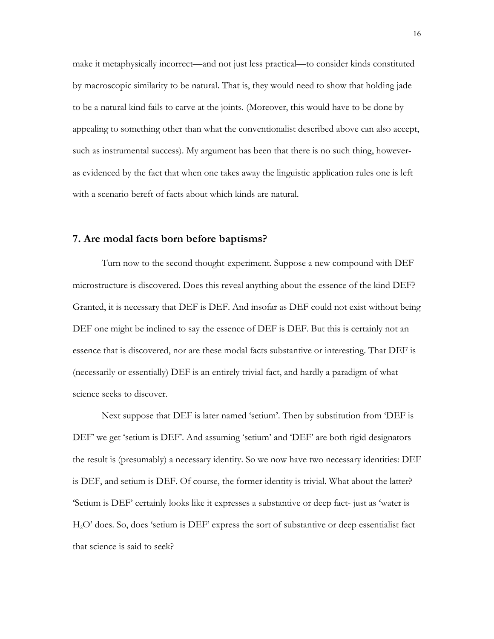make it metaphysically incorrect—and not just less practical—to consider kinds constituted by macroscopic similarity to be natural. That is, they would need to show that holding jade to be a natural kind fails to carve at the joints. (Moreover, this would have to be done by appealing to something other than what the conventionalist described above can also accept, such as instrumental success). My argument has been that there is no such thing, howeveras evidenced by the fact that when one takes away the linguistic application rules one is left with a scenario bereft of facts about which kinds are natural.

#### **7. Are modal facts born before baptisms?**

Turn now to the second thought-experiment. Suppose a new compound with DEF microstructure is discovered. Does this reveal anything about the essence of the kind DEF? Granted, it is necessary that DEF is DEF. And insofar as DEF could not exist without being DEF one might be inclined to say the essence of DEF is DEF. But this is certainly not an essence that is discovered, nor are these modal facts substantive or interesting. That DEF is (necessarily or essentially) DEF is an entirely trivial fact, and hardly a paradigm of what science seeks to discover.

Next suppose that DEF is later named 'setium'. Then by substitution from 'DEF is DEF' we get 'setium is DEF'. And assuming 'setium' and 'DEF' are both rigid designators the result is (presumably) a necessary identity. So we now have two necessary identities: DEF is DEF, and setium is DEF. Of course, the former identity is trivial. What about the latter? 'Setium is DEF' certainly looks like it expresses a substantive or deep fact- just as 'water is H2O' does. So, does 'setium is DEF' express the sort of substantive or deep essentialist fact that science is said to seek?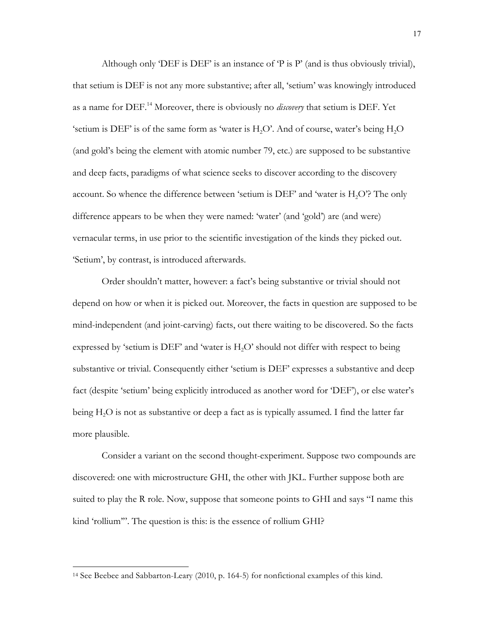Although only 'DEF is DEF' is an instance of  $P$  is P' (and is thus obviously trivial), that setium is DEF is not any more substantive; after all, 'setium' was knowingly introduced as a name for DEF.14 Moreover, there is obviously no *discovery* that setium is DEF. Yet 'setium is DEF' is of the same form as 'water is  $H_2O'$ . And of course, water's being  $H_2O$ (and gold's being the element with atomic number 79, etc.) are supposed to be substantive and deep facts, paradigms of what science seeks to discover according to the discovery account. So whence the difference between 'setium is DEF' and 'water is  $H_2O$ '? The only difference appears to be when they were named: 'water' (and 'gold') are (and were) vernacular terms, in use prior to the scientific investigation of the kinds they picked out. 'Setium', by contrast, is introduced afterwards.

Order shouldn't matter, however: a fact's being substantive or trivial should not depend on how or when it is picked out. Moreover, the facts in question are supposed to be mind-independent (and joint-carving) facts, out there waiting to be discovered. So the facts expressed by 'setium is  $DEF'$  and 'water is  $H<sub>2</sub>O'$  should not differ with respect to being substantive or trivial. Consequently either 'setium is DEF' expresses a substantive and deep fact (despite 'setium' being explicitly introduced as another word for 'DEF'), or else water's being  $H_2O$  is not as substantive or deep a fact as is typically assumed. I find the latter far more plausible.

Consider a variant on the second thought-experiment. Suppose two compounds are discovered: one with microstructure GHI, the other with JKL. Further suppose both are suited to play the R role. Now, suppose that someone points to GHI and says "I name this kind 'rollium'". The question is this: is the essence of rollium GHI?

<sup>14</sup> See Beebee and Sabbarton-Leary (2010, p. 164-5) for nonfictional examples of this kind.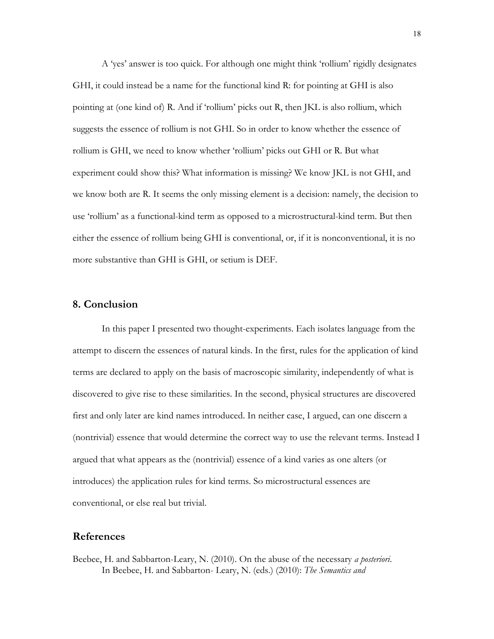A 'yes' answer is too quick. For although one might think 'rollium' rigidly designates GHI, it could instead be a name for the functional kind R: for pointing at GHI is also pointing at (one kind of) R. And if 'rollium' picks out R, then JKL is also rollium, which suggests the essence of rollium is not GHI. So in order to know whether the essence of rollium is GHI, we need to know whether 'rollium' picks out GHI or R. But what experiment could show this? What information is missing? We know JKL is not GHI, and we know both are R. It seems the only missing element is a decision: namely, the decision to use 'rollium' as a functional-kind term as opposed to a microstructural-kind term. But then either the essence of rollium being GHI is conventional, or, if it is nonconventional, it is no more substantive than GHI is GHI, or setium is DEF.

# **8. Conclusion**

In this paper I presented two thought-experiments. Each isolates language from the attempt to discern the essences of natural kinds. In the first, rules for the application of kind terms are declared to apply on the basis of macroscopic similarity, independently of what is discovered to give rise to these similarities. In the second, physical structures are discovered first and only later are kind names introduced. In neither case, I argued, can one discern a (nontrivial) essence that would determine the correct way to use the relevant terms. Instead I argued that what appears as the (nontrivial) essence of a kind varies as one alters (or introduces) the application rules for kind terms. So microstructural essences are conventional, or else real but trivial.

## **References**

Beebee, H. and Sabbarton-Leary, N. (2010). On the abuse of the necessary *a posteriori*. In Beebee, H. and Sabbarton- Leary, N. (eds.) (2010): *The Semantics and*